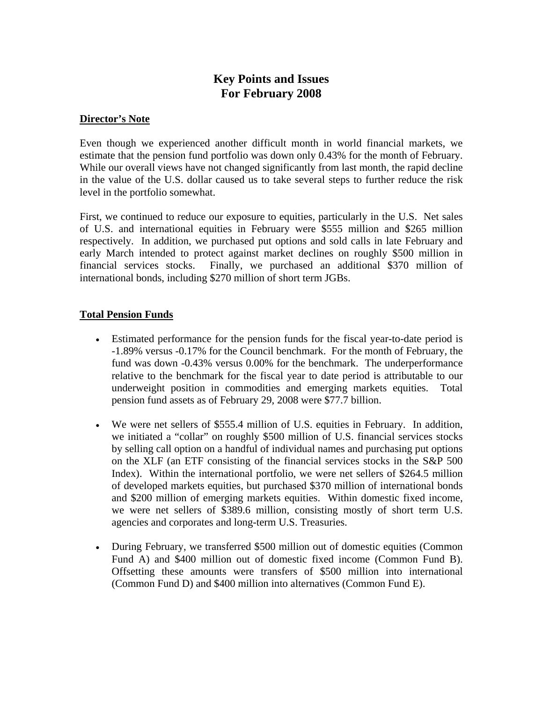# **Key Points and Issues For February 2008**

#### **Director's Note**

Even though we experienced another difficult month in world financial markets, we estimate that the pension fund portfolio was down only 0.43% for the month of February. While our overall views have not changed significantly from last month, the rapid decline in the value of the U.S. dollar caused us to take several steps to further reduce the risk level in the portfolio somewhat.

First, we continued to reduce our exposure to equities, particularly in the U.S. Net sales of U.S. and international equities in February were \$555 million and \$265 million respectively. In addition, we purchased put options and sold calls in late February and early March intended to protect against market declines on roughly \$500 million in financial services stocks. Finally, we purchased an additional \$370 million of international bonds, including \$270 million of short term JGBs.

## **Total Pension Funds**

- Estimated performance for the pension funds for the fiscal year-to-date period is -1.89% versus -0.17% for the Council benchmark. For the month of February, the fund was down -0.43% versus 0.00% for the benchmark. The underperformance relative to the benchmark for the fiscal year to date period is attributable to our underweight position in commodities and emerging markets equities. Total pension fund assets as of February 29, 2008 were \$77.7 billion.
- We were net sellers of \$555.4 million of U.S. equities in February. In addition, we initiated a "collar" on roughly \$500 million of U.S. financial services stocks by selling call option on a handful of individual names and purchasing put options on the XLF (an ETF consisting of the financial services stocks in the S&P 500 Index). Within the international portfolio, we were net sellers of \$264.5 million of developed markets equities, but purchased \$370 million of international bonds and \$200 million of emerging markets equities. Within domestic fixed income, we were net sellers of \$389.6 million, consisting mostly of short term U.S. agencies and corporates and long-term U.S. Treasuries.
- During February, we transferred \$500 million out of domestic equities (Common Fund A) and \$400 million out of domestic fixed income (Common Fund B). Offsetting these amounts were transfers of \$500 million into international (Common Fund D) and \$400 million into alternatives (Common Fund E).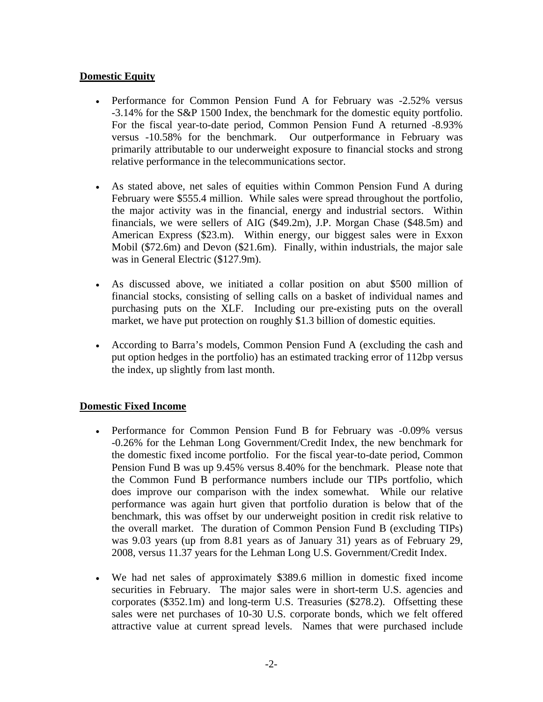## **Domestic Equity**

- Performance for Common Pension Fund A for February was -2.52% versus -3.14% for the S&P 1500 Index, the benchmark for the domestic equity portfolio. For the fiscal year-to-date period, Common Pension Fund A returned -8.93% versus -10.58% for the benchmark. Our outperformance in February was primarily attributable to our underweight exposure to financial stocks and strong relative performance in the telecommunications sector.
- As stated above, net sales of equities within Common Pension Fund A during February were \$555.4 million. While sales were spread throughout the portfolio, the major activity was in the financial, energy and industrial sectors. Within financials, we were sellers of AIG (\$49.2m), J.P. Morgan Chase (\$48.5m) and American Express (\$23.m). Within energy, our biggest sales were in Exxon Mobil (\$72.6m) and Devon (\$21.6m). Finally, within industrials, the major sale was in General Electric (\$127.9m).
- As discussed above, we initiated a collar position on abut \$500 million of financial stocks, consisting of selling calls on a basket of individual names and purchasing puts on the XLF. Including our pre-existing puts on the overall market, we have put protection on roughly \$1.3 billion of domestic equities.
- According to Barra's models, Common Pension Fund A (excluding the cash and put option hedges in the portfolio) has an estimated tracking error of 112bp versus the index, up slightly from last month.

#### **Domestic Fixed Income**

- Performance for Common Pension Fund B for February was -0.09% versus -0.26% for the Lehman Long Government/Credit Index, the new benchmark for the domestic fixed income portfolio. For the fiscal year-to-date period, Common Pension Fund B was up 9.45% versus 8.40% for the benchmark. Please note that the Common Fund B performance numbers include our TIPs portfolio, which does improve our comparison with the index somewhat. While our relative performance was again hurt given that portfolio duration is below that of the benchmark, this was offset by our underweight position in credit risk relative to the overall market. The duration of Common Pension Fund B (excluding TIPs) was 9.03 years (up from 8.81 years as of January 31) years as of February 29, 2008, versus 11.37 years for the Lehman Long U.S. Government/Credit Index.
- We had net sales of approximately \$389.6 million in domestic fixed income securities in February. The major sales were in short-term U.S. agencies and corporates (\$352.1m) and long-term U.S. Treasuries (\$278.2). Offsetting these sales were net purchases of 10-30 U.S. corporate bonds, which we felt offered attractive value at current spread levels. Names that were purchased include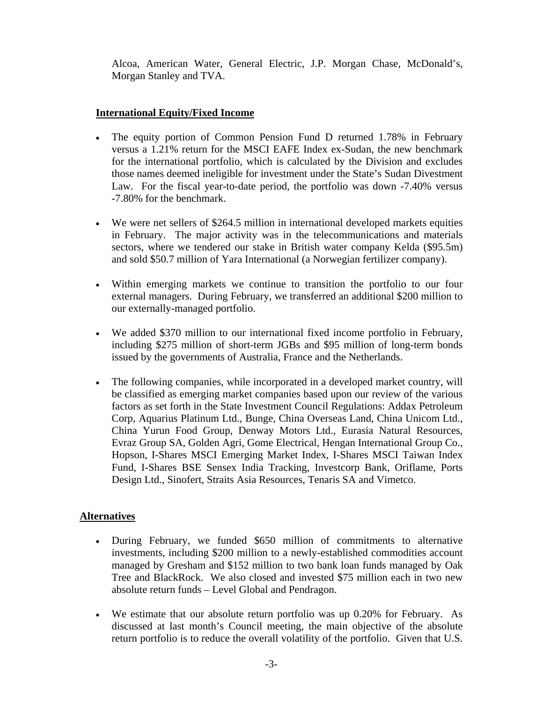Alcoa, American Water, General Electric, J.P. Morgan Chase, McDonald's, Morgan Stanley and TVA.

# **International Equity/Fixed Income**

- The equity portion of Common Pension Fund D returned 1.78% in February versus a 1.21% return for the MSCI EAFE Index ex-Sudan, the new benchmark for the international portfolio, which is calculated by the Division and excludes those names deemed ineligible for investment under the State's Sudan Divestment Law. For the fiscal year-to-date period, the portfolio was down -7.40% versus -7.80% for the benchmark.
- We were net sellers of \$264.5 million in international developed markets equities in February. The major activity was in the telecommunications and materials sectors, where we tendered our stake in British water company Kelda (\$95.5m) and sold \$50.7 million of Yara International (a Norwegian fertilizer company).
- Within emerging markets we continue to transition the portfolio to our four external managers. During February, we transferred an additional \$200 million to our externally-managed portfolio.
- We added \$370 million to our international fixed income portfolio in February, including \$275 million of short-term JGBs and \$95 million of long-term bonds issued by the governments of Australia, France and the Netherlands.
- The following companies, while incorporated in a developed market country, will be classified as emerging market companies based upon our review of the various factors as set forth in the State Investment Council Regulations: Addax Petroleum Corp, Aquarius Platinum Ltd., Bunge, China Overseas Land, China Unicom Ltd., China Yurun Food Group, Denway Motors Ltd., Eurasia Natural Resources, Evraz Group SA, Golden Agri, Gome Electrical, Hengan International Group Co., Hopson, I-Shares MSCI Emerging Market Index, I-Shares MSCI Taiwan Index Fund, I-Shares BSE Sensex India Tracking, Investcorp Bank, Oriflame, Ports Design Ltd., Sinofert, Straits Asia Resources, Tenaris SA and Vimetco.

## **Alternatives**

- During February, we funded \$650 million of commitments to alternative investments, including \$200 million to a newly-established commodities account managed by Gresham and \$152 million to two bank loan funds managed by Oak Tree and BlackRock. We also closed and invested \$75 million each in two new absolute return funds – Level Global and Pendragon.
- We estimate that our absolute return portfolio was up 0.20% for February. As discussed at last month's Council meeting, the main objective of the absolute return portfolio is to reduce the overall volatility of the portfolio. Given that U.S.